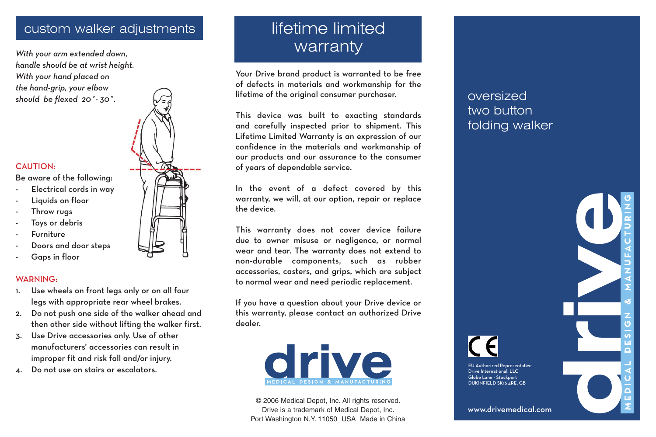# custom walker adjustments

*With your arm extended down, handle should be at wrist height. With your hand placed on the hand-grip, your elbow should be flexed 20˚- 30˚.*

### CAUTION:

- Be aware of the following:
- Electrical cords in way
- Liquids on floor
- Throw rugs
- Toys or debris
- **Furniture**
- Doors and door steps
- Gaps in floor

#### WARNING:

- 1. Use wheels on front legs only or on all four legs with appropriate rear wheel brakes.
- 2. Do not push one side of the walker ahead and then other side without lifting the walker first.
- 3. Use Drive accessories only. Use of other manufacturers' accessories can result in improper fit and risk fall and/or injury.
- 



Your Drive brand product is warranted to be free of defects in materials and workmanship for the lifetime of the original consumer purchaser.

This device was built to exacting standards and carefully inspected prior to shipment. This Lifetime Limited Warranty is an expression of our confidence in the materials and workmanship of our products and our assurance to the consumer of years of dependable service.

In the event of a defect covered by this warranty, we will, at our option, repair or replace the device.

This warranty does not cover device failure due to owner misuse or negligence, or normal wear and tear. The warranty does not extend to non-durable components, such as rubber accessories, casters, and grips, which are subject to normal wear and need periodic replacement.

If you have a question about your Drive device or this warranty, please contact an authorized Drive dealer.



© 2006 Medical Depot, Inc. All rights reserved. Drive is a trademark of Medical Depot, Inc. Port Washington N.Y. 11050 USA Made in China

# oversized two button folding walker

www.drivemedical.com

Drive International, LLC Globe Lane - Stockport DUKINFIELD SK16 4RE, GB